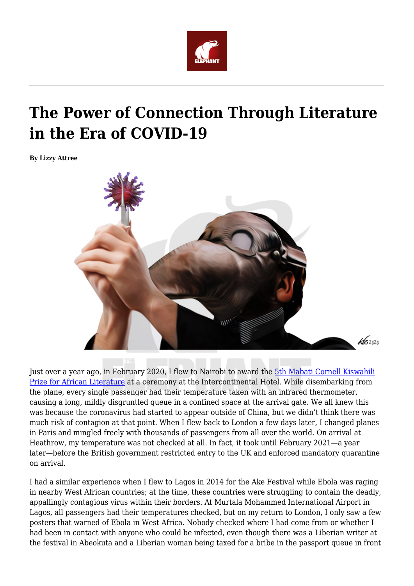

## **The Power of Connection Through Literature in the Era of COVID-19**

**By Lizzy Attree**



Just over a year ago, in February 2020, I flew to Nairobi to award the [5th Mabati Cornell Kiswahili](https://africasacountry.com/2014/12/can-an-african-language-prize-be-inherently-pan-african) [Prize for African Literature](https://africasacountry.com/2014/12/can-an-african-language-prize-be-inherently-pan-african) at a ceremony at the Intercontinental Hotel. While disembarking from the plane, every single passenger had their temperature taken with an infrared thermometer, causing a long, mildly disgruntled queue in a confined space at the arrival gate. We all knew this was because the coronavirus had started to appear outside of China, but we didn't think there was much risk of contagion at that point. When I flew back to London a few days later, I changed planes in Paris and mingled freely with thousands of passengers from all over the world. On arrival at Heathrow, my temperature was not checked at all. In fact, it took until February 2021—a year later—before the British government restricted entry to the UK and enforced mandatory quarantine on arrival.

I had a similar experience when I flew to Lagos in 2014 for the Ake Festival while Ebola was raging in nearby West African countries; at the time, these countries were struggling to contain the deadly, appallingly contagious virus within their borders. At Murtala Mohammed International Airport in Lagos, all passengers had their temperatures checked, but on my return to London, I only saw a few posters that warned of Ebola in West Africa. Nobody checked where I had come from or whether I had been in contact with anyone who could be infected, even though there was a Liberian writer at the festival in Abeokuta and a Liberian woman being taxed for a bribe in the passport queue in front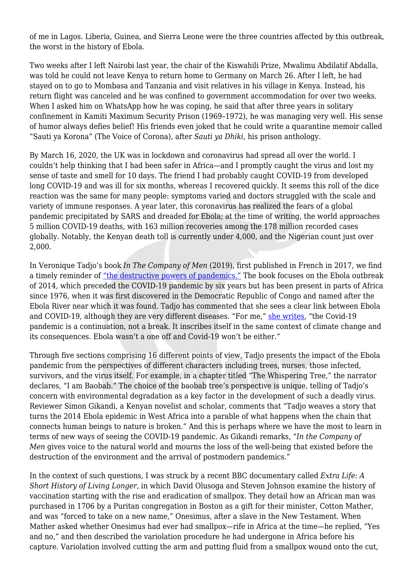of me in Lagos. Liberia, Guinea, and Sierra Leone were the three countries affected by this outbreak, the worst in the history of Ebola.

Two weeks after I left Nairobi last year, the chair of the Kiswahili Prize, Mwalimu Abdilatif Abdalla, was told he could not leave Kenya to return home to Germany on March 26. After I left, he had stayed on to go to Mombasa and Tanzania and visit relatives in his village in Kenya. Instead, his return flight was canceled and he was confined to government accommodation for over two weeks. When I asked him on WhatsApp how he was coping, he said that after three years in solitary confinement in Kamiti Maximum Security Prison (1969–1972), he was managing very well. His sense of humor always defies belief! His friends even joked that he could write a quarantine memoir called "Sauti ya Korona" (The Voice of Corona), after *Sauti ya Dhiki*, his prison anthology.

By March 16, 2020, the UK was in lockdown and coronavirus had spread all over the world. I couldn't help thinking that I had been safer in Africa—and I promptly caught the virus and lost my sense of taste and smell for 10 days. The friend I had probably caught COVID-19 from developed long COVID-19 and was ill for six months, whereas I recovered quickly. It seems this roll of the dice reaction was the same for many people: symptoms varied and doctors struggled with the scale and variety of immune responses. A year later, this coronavirus has realized the fears of a global pandemic precipitated by SARS and dreaded for Ebola; at the time of writing, the world approaches 5 million COVID-19 deaths, with 163 million recoveries among the 178 million recorded cases globally. Notably, the Kenyan death toll is currently under 4,000, and the Nigerian count just over 2,000.

In Veronique Tadjo's book *In The Company of Men* (2019), first published in French in 2017, we find a timely reminder of ["the destructive powers of pandemics."](https://www.publishersweekly.com/978-1-63542-095-1) The book focuses on the Ebola outbreak of 2014, which preceded the COVID-19 pandemic by six years but has been present in parts of Africa since 1976, when it was first discovered in the Democratic Republic of Congo and named after the Ebola River near which it was found. Tadjo has commented that she sees a clear link between Ebola and COVID-19, although they are very different diseases. "For me," [she writes,](https://africainwords.com/2021/05/18/qa-veronique-tadjo-on-opening-up-new-possibilities-with-in-the-company-of-men/) "the Covid-19 pandemic is a continuation, not a break. It inscribes itself in the same context of climate change and its consequences. Ebola wasn't a one off and Covid-19 won't be either."

Through five sections comprising 16 different points of view, Tadjo presents the impact of the Ebola pandemic from the perspectives of different characters including trees, nurses, those infected, survivors, and the virus itself. For example, in a chapter titled "The Whispering Tree," the narrator declares, "I am Baobab." The choice of the baobab tree's perspective is unique, telling of Tadjo's concern with environmental degradation as a key factor in the development of such a deadly virus. Reviewer Simon Gikandi, a Kenyan novelist and scholar, comments that "Tadjo weaves a story that turns the 2014 Ebola epidemic in West Africa into a parable of what happens when the chain that connects human beings to nature is broken." And this is perhaps where we have the most to learn in terms of new ways of seeing the COVID-19 pandemic. As Gikandi remarks, "*In the Company of Men* gives voice to the natural world and mourns the loss of the well-being that existed before the destruction of the environment and the arrival of postmodern pandemics."

In the context of such questions, I was struck by a recent BBC documentary called *Extra Life: A Short History of Living Longer*, in which David Olusoga and Steven Johnson examine the history of vaccination starting with the rise and eradication of smallpox. They detail how an African man was purchased in 1706 by a Puritan congregation in Boston as a gift for their minister, Cotton Mather, and was "forced to take on a new name," Onesimus, after a slave in the New Testament. When Mather asked whether Onesimus had ever had smallpox—rife in Africa at the time—he replied, "Yes and no," and then described the variolation procedure he had undergone in Africa before his capture. Variolation involved cutting the arm and putting fluid from a smallpox wound onto the cut,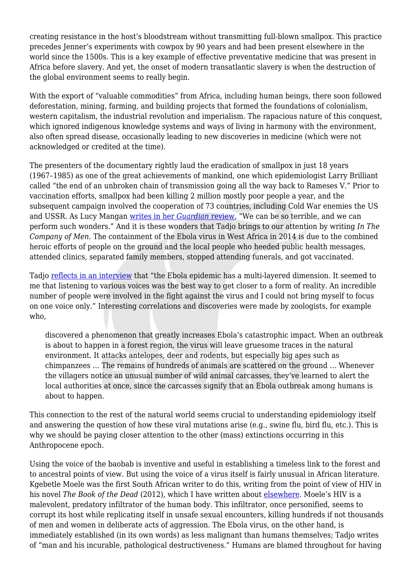creating resistance in the host's bloodstream without transmitting full-blown smallpox. This practice precedes Jenner's experiments with cowpox by 90 years and had been present elsewhere in the world since the 1500s. This is a key example of effective preventative medicine that was present in Africa before slavery. And yet, the onset of modern transatlantic slavery is when the destruction of the global environment seems to really begin.

With the export of "valuable commodities" from Africa, including human beings, there soon followed deforestation, mining, farming, and building projects that formed the foundations of colonialism, western capitalism, the industrial revolution and imperialism. The rapacious nature of this conquest, which ignored indigenous knowledge systems and ways of living in harmony with the environment, also often spread disease, occasionally leading to new discoveries in medicine (which were not acknowledged or credited at the time).

The presenters of the documentary rightly laud the eradication of smallpox in just 18 years (1967–1985) as one of the great achievements of mankind, one which epidemiologist Larry Brilliant called "the end of an unbroken chain of transmission going all the way back to Rameses V." Prior to vaccination efforts, smallpox had been killing 2 million mostly poor people a year, and the subsequent campaign involved the cooperation of 73 countries, including Cold War enemies the US and USSR. As Lucy Mangan [writes in her](https://www.theguardian.com/tv-and-radio/2021/may/18/extra-life-a-short-history-of-living-longer-review-the-gobsmacking-truth-about-vaccines) *[Guardian](https://www.theguardian.com/tv-and-radio/2021/may/18/extra-life-a-short-history-of-living-longer-review-the-gobsmacking-truth-about-vaccines)* [review](https://www.theguardian.com/tv-and-radio/2021/may/18/extra-life-a-short-history-of-living-longer-review-the-gobsmacking-truth-about-vaccines), "We can be so terrible, and we can perform such wonders." And it is these wonders that Tadjo brings to our attention by writing *In The Company of Men.* The containment of the Ebola virus in West Africa in 2014 is due to the combined heroic efforts of people on the ground and the local people who heeded public health messages, attended clinics, separated family members, stopped attending funerals, and got vaccinated.

Tadjo [reflects in an interview](https://africainwords.com/2021/05/18/qa-veronique-tadjo-on-opening-up-new-possibilities-with-in-the-company-of-men/) that "the Ebola epidemic has a multi-layered dimension. It seemed to me that listening to various voices was the best way to get closer to a form of reality. An incredible number of people were involved in the fight against the virus and I could not bring myself to focus on one voice only." Interesting correlations and discoveries were made by zoologists, for example who,

discovered a phenomenon that greatly increases Ebola's catastrophic impact. When an outbreak is about to happen in a forest region, the virus will leave gruesome traces in the natural environment. It attacks antelopes, deer and rodents, but especially big apes such as chimpanzees … The remains of hundreds of animals are scattered on the ground … Whenever the villagers notice an unusual number of wild animal carcasses, they've learned to alert the local authorities at once, since the carcasses signify that an Ebola outbreak among humans is about to happen.

This connection to the rest of the natural world seems crucial to understanding epidemiology itself and answering the question of how these viral mutations arise (e.g., swine flu, bird flu, etc.). This is why we should be paying closer attention to the other (mass) extinctions occurring in this Anthropocene epoch.

Using the voice of the baobab is inventive and useful in establishing a timeless link to the forest and to ancestral points of view. But using the voice of a virus itself is fairly unusual in African literature. Kgebetle Moele was the first South African writer to do this, writing from the point of view of HIV in his novel *The Book of the Dead* (2012), which I have written about [elsewhere.](https://www.manchesterhive.com/view/9780719098093/9780719098093.00016.xml) Moele's HIV is a malevolent, predatory infiltrator of the human body. This infiltrator, once personified, seems to corrupt its host while replicating itself in unsafe sexual encounters, killing hundreds if not thousands of men and women in deliberate acts of aggression. The Ebola virus, on the other hand, is immediately established (in its own words) as less malignant than humans themselves; Tadjo writes of "man and his incurable, pathological destructiveness." Humans are blamed throughout for having